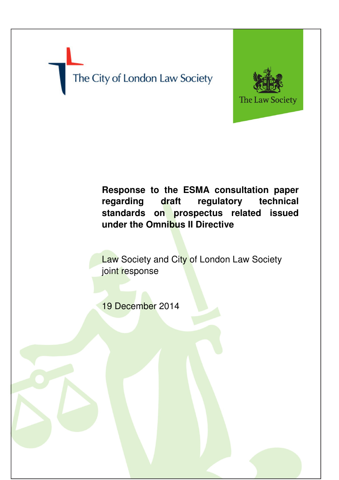# The City of London Law Society



# **Response to the ESMA consultation paper regarding draft regulatory technical standards on prospectus related issued under the Omnibus II Directive**

**Law Society and City of London Law Society** joint response

19 December 2014